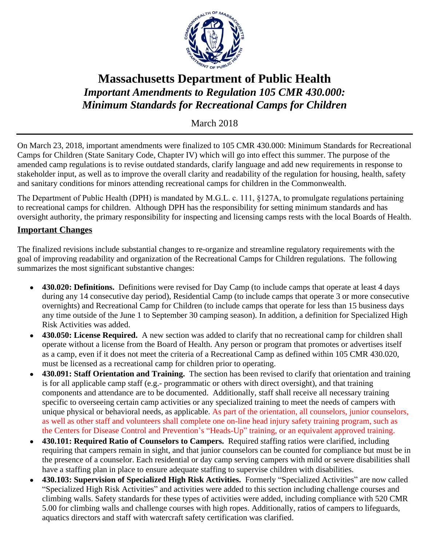

## **Massachusetts Department of Public Health** *Important Amendments to Regulation 105 CMR 430.000: Minimum Standards for Recreational Camps for Children*

March 2018

On March 23, 2018, important amendments were finalized to 105 CMR 430.000: Minimum Standards for Recreational Camps for Children (State Sanitary Code, Chapter IV) which will go into effect this summer. The purpose of the amended camp regulations is to revise outdated standards, clarify language and add new requirements in response to stakeholder input, as well as to improve the overall clarity and readability of the regulation for housing, health, safety and sanitary conditions for minors attending recreational camps for children in the Commonwealth.

The Department of Public Health (DPH) is mandated by M.G.L. c. 111, §127A, to promulgate regulations pertaining to recreational camps for children. Although DPH has the responsibility for setting minimum standards and has oversight authority, the primary responsibility for inspecting and licensing camps rests with the local Boards of Health.

## **Important Changes**

The finalized revisions include substantial changes to re-organize and streamline regulatory requirements with the goal of improving readability and organization of the Recreational Camps for Children regulations. The following summarizes the most significant substantive changes:

- **430.020: Definitions.** Definitions were revised for Day Camp (to include camps that operate at least 4 days during any 14 consecutive day period), Residential Camp (to include camps that operate 3 or more consecutive overnights) and Recreational Camp for Children (to include camps that operate for less than 15 business days any time outside of the June 1 to September 30 camping season). In addition, a definition for Specialized High Risk Activities was added.
- **430.050: License Required.** A new section was added to clarify that no recreational camp for children shall operate without a license from the Board of Health. Any person or program that promotes or advertises itself as a camp, even if it does not meet the criteria of a Recreational Camp as defined within 105 CMR 430.020, must be licensed as a recreational camp for children prior to operating.
- **430.091: Staff Orientation and Training.** The section has been revised to clarify that orientation and training is for all applicable camp staff (e.g.- programmatic or others with direct oversight), and that training components and attendance are to be documented. Additionally, staff shall receive all necessary training specific to overseeing certain camp activities or any specialized training to meet the needs of campers with unique physical or behavioral needs, as applicable. As part of the orientation, all counselors, junior counselors, as well as other staff and volunteers shall complete one on-line head injury safety training program, such as the Centers for Disease Control and Prevention's "Heads-Up" training, or an equivalent approved training.
- **430.101: Required Ratio of Counselors to Campers.** Required staffing ratios were clarified, including requiring that campers remain in sight, and that junior counselors can be counted for compliance but must be in the presence of a counselor. Each residential or day camp serving campers with mild or severe disabilities shall have a staffing plan in place to ensure adequate staffing to supervise children with disabilities.
- **430.103: Supervision of Specialized High Risk Activities.** Formerly "Specialized Activities" are now called "Specialized High Risk Activities" and activities were added to this section including challenge courses and climbing walls. Safety standards for these types of activities were added, including compliance with 520 CMR 5.00 for climbing walls and challenge courses with high ropes. Additionally, ratios of campers to lifeguards, aquatics directors and staff with watercraft safety certification was clarified.